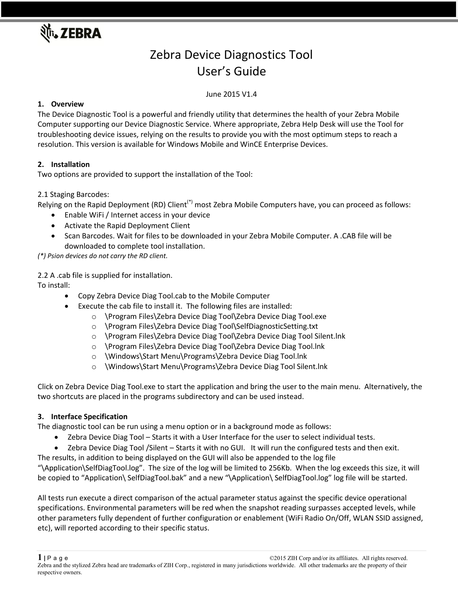

# Zebra Device Diagnostics Tool User's Guide

# June 2015 V1.4

# **1. Overview**

The Device Diagnostic Tool is a powerful and friendly utility that determines the health of your Zebra Mobile Computer supporting our Device Diagnostic Service. Where appropriate, Zebra Help Desk will use the Tool for troubleshooting device issues, relying on the results to provide you with the most optimum steps to reach a resolution. This version is available for Windows Mobile and WinCE Enterprise Devices.

# **2. Installation**

Two options are provided to support the installation of the Tool:

## 2.1 Staging Barcodes:

Relying on the Rapid Deployment (RD) Client<sup>(\*)</sup> most Zebra Mobile Computers have, you can proceed as follows:

- Enable WiFi / Internet access in your device
- Activate the Rapid Deployment Client
- Scan Barcodes. Wait for files to be downloaded in your Zebra Mobile Computer. A .CAB file will be downloaded to complete tool installation.

*(\*) Psion devices do not carry the RD client.*

2.2 A .cab file is supplied for installation.

To install:

- Copy Zebra Device Diag Tool.cab to the Mobile Computer
	- Execute the cab file to install it. The following files are installed:
		- o \Program Files\Zebra Device Diag Tool\Zebra Device Diag Tool.exe
			- o \Program Files\Zebra Device Diag Tool\SelfDiagnosticSetting.txt
			- o \Program Files\Zebra Device Diag Tool\Zebra Device Diag Tool Silent.lnk
		- o \Program Files\Zebra Device Diag Tool\Zebra Device Diag Tool.lnk
		- o \Windows\Start Menu\Programs\Zebra Device Diag Tool.lnk
		- o \Windows\Start Menu\Programs\Zebra Device Diag Tool Silent.lnk

Click on Zebra Device Diag Tool.exe to start the application and bring the user to the main menu. Alternatively, the two shortcuts are placed in the programs subdirectory and can be used instead.

#### **3. Interface Specification**

The diagnostic tool can be run using a menu option or in a background mode as follows:

- Zebra Device Diag Tool Starts it with a User Interface for the user to select individual tests.
- Zebra Device Diag Tool /Silent Starts it with no GUI. It will run the configured tests and then exit.

The results, in addition to being displayed on the GUI will also be appended to the log file

"\Application\SelfDiagTool.log". The size of the log will be limited to 256Kb. When the log exceeds this size, it will be copied to "Application\ SelfDiagTool.bak" and a new "\Application\ SelfDiagTool.log" log file will be started.

All tests run execute a direct comparison of the actual parameter status against the specific device operational specifications. Environmental parameters will be red when the snapshot reading surpasses accepted levels, while other parameters fully dependent of further configuration or enablement (WiFi Radio On/Off, WLAN SSID assigned, etc), will reported according to their specific status.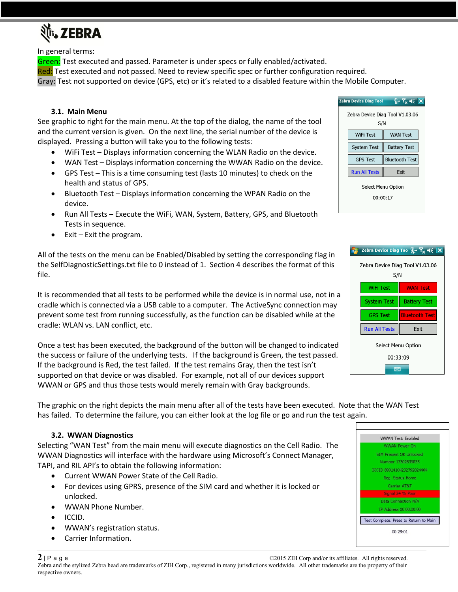

In general terms:

Green: Test executed and passed. Parameter is under specs or fully enabled/activated.

Red: Test executed and not passed. Need to review specific spec or further configuration required.

Gray: Test not supported on device (GPS, etc) or it's related to a disabled feature within the Mobile Computer.

#### **3.1. Main Menu**

See graphic to right for the main menu. At the top of the dialog, the name of the tool and the current version is given. On the next line, the serial number of the device is displayed. Pressing a button will take you to the following tests:

- WiFi Test Displays information concerning the WLAN Radio on the device.
- WAN Test Displays information concerning the WWAN Radio on the device.
- GPS Test This is a time consuming test (lasts 10 minutes) to check on the health and status of GPS.
- Bluetooth Test Displays information concerning the WPAN Radio on the device.
- Run All Tests Execute the WiFi, WAN, System, Battery, GPS, and Bluetooth Tests in sequence.
- Exit Exit the program.

All of the tests on the menu can be Enabled/Disabled by setting the corresponding flag in the SelfDiagnosticSettings.txt file to 0 instead of 1. Section 4 describes the format of this file.

It is recommended that all tests to be performed while the device is in normal use, not in a cradle which is connected via a USB cable to a computer. The ActiveSync connection may prevent some test from running successfully, as the function can be disabled while at the cradle: WLAN vs. LAN conflict, etc.

Once a test has been executed, the background of the button will be changed to indicated the success or failure of the underlying tests. If the background is Green, the test passed. If the background is Red, the test failed. If the test remains Gray, then the test isn't supported on that device or was disabled. For example, not all of our devices support WWAN or GPS and thus those tests would merely remain with Gray backgrounds.

The graphic on the right depicts the main menu after all of the tests have been executed. Note that the WAN Test has failed. To determine the failure, you can either look at the log file or go and run the test again.

#### **3.2. WWAN Diagnostics**

Selecting "WAN Test" from the main menu will execute diagnostics on the Cell Radio. The WWAN Diagnostics will interface with the hardware using Microsoft's Connect Manager, TAPI, and RIL API's to obtain the following information:

- Current WWAN Power State of the Cell Radio.
- For devices using GPRS, presence of the SIM card and whether it is locked or unlocked.
- WWAN Phone Number.
- ICCID.
- WWAN's registration status.
- Carrier Information.





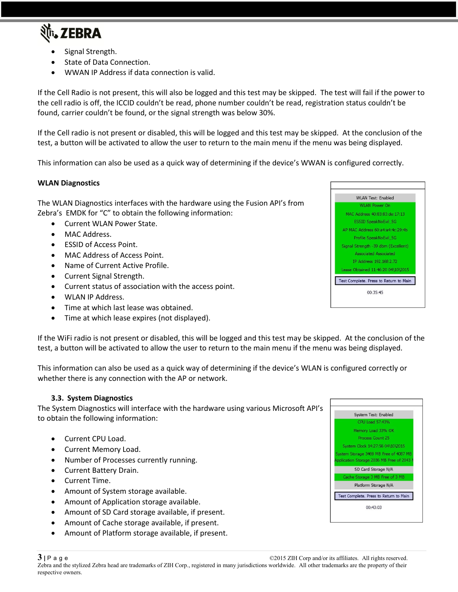

- Signal Strength.
- State of Data Connection.
- WWAN IP Address if data connection is valid.

If the Cell Radio is not present, this will also be logged and this test may be skipped. The test will fail if the power to the cell radio is off, the ICCID couldn't be read, phone number couldn't be read, registration status couldn't be found, carrier couldn't be found, or the signal strength was below 30%.

If the Cell radio is not present or disabled, this will be logged and this test may be skipped. At the conclusion of the test, a button will be activated to allow the user to return to the main menu if the menu was being displayed.

This information can also be used as a quick way of determining if the device's WWAN is configured correctly.

## **WLAN Diagnostics**

The WLAN Diagnostics interfaces with the hardware using the Fusion API's from Zebra's EMDK for "C" to obtain the following information:

- Current WLAN Power State.
- MAC Address.
- ESSID of Access Point.
- MAC Address of Access Point.
- Name of Current Active Profile.
- Current Signal Strength.
- Current status of association with the access point.
- WLAN IP Address.
- Time at which last lease was obtained.
- Time at which lease expires (not displayed).

If the WiFi radio is not present or disabled, this will be logged and this test may be skipped. At the conclusion of the test, a button will be activated to allow the user to return to the main menu if the menu was being displayed.

This information can also be used as a quick way of determining if the device's WLAN is configured correctly or whether there is any connection with the AP or network.

#### **3.3. System Diagnostics**

The System Diagnostics will interface with the hardware using various Microsoft API's to obtain the following information:

- Current CPU Load.
- Current Memory Load.
- Number of Processes currently running.
- Current Battery Drain.
- Current Time.
- Amount of System storage available.
- Amount of Application storage available.
- Amount of SD Card storage available, if present.
- Amount of Cache storage available, if present.
- Amount of Platform storage available, if present.



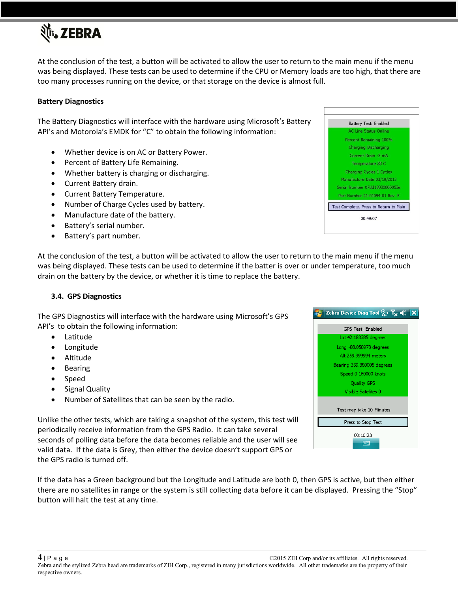

At the conclusion of the test, a button will be activated to allow the user to return to the main menu if the menu was being displayed. These tests can be used to determine if the CPU or Memory loads are too high, that there are too many processes running on the device, or that storage on the device is almost full.

#### **Battery Diagnostics**

The Battery Diagnostics will interface with the hardware using Microsoft's Battery API's and Motorola's EMDK for "C" to obtain the following information:

- Whether device is on AC or Battery Power.
- Percent of Battery Life Remaining.
- Whether battery is charging or discharging.
- Current Battery drain.
- Current Battery Temperature.
- Number of Charge Cycles used by battery.
- Manufacture date of the battery.
- Battery's serial number.
- Battery's part number.

At the conclusion of the test, a button will be activated to allow the user to return to the main menu if the menu was being displayed. These tests can be used to determine if the batter is over or under temperature, too much drain on the battery by the device, or whether it is time to replace the battery.

#### **3.4. GPS Diagnostics**

The GPS Diagnostics will interface with the hardware using Microsoft's GPS API's to obtain the following information:

- Latitude
- Longitude
- Altitude
- Bearing
- Speed
- Signal Quality
- Number of Satellites that can be seen by the radio.

Unlike the other tests, which are taking a snapshot of the system, this test will periodically receive information from the GPS Radio. It can take several seconds of polling data before the data becomes reliable and the user will see valid data. If the data is Grey, then either the device doesn't support GPS or the GPS radio is turned off.

If the data has a Green background but the Longitude and Latitude are both 0, then GPS is active, but then either there are no satellites in range or the system is still collecting data before it can be displayed. Pressing the "Stop" button will halt the test at any time.



| The M Device bigg 100 $\chi_{\Delta}$ is $\mathcal{A} \leq \mathcal{A}$ |  |
|-------------------------------------------------------------------------|--|
| GPS Test: Enabled                                                       |  |
| Lat 42.183385 degrees                                                   |  |
| Long -88.058973 degrees                                                 |  |
| Alt 259.399994 meters                                                   |  |
| Bearing 339.380005 degrees                                              |  |
| Speed 0.160000 knots                                                    |  |
| <b>Quality GPS</b>                                                      |  |
| Visible Satelites 0                                                     |  |
| Test may take 10 Minutes                                                |  |
| Press to Stop Test                                                      |  |
| 00:10:23<br><b>WWW.</b>                                                 |  |